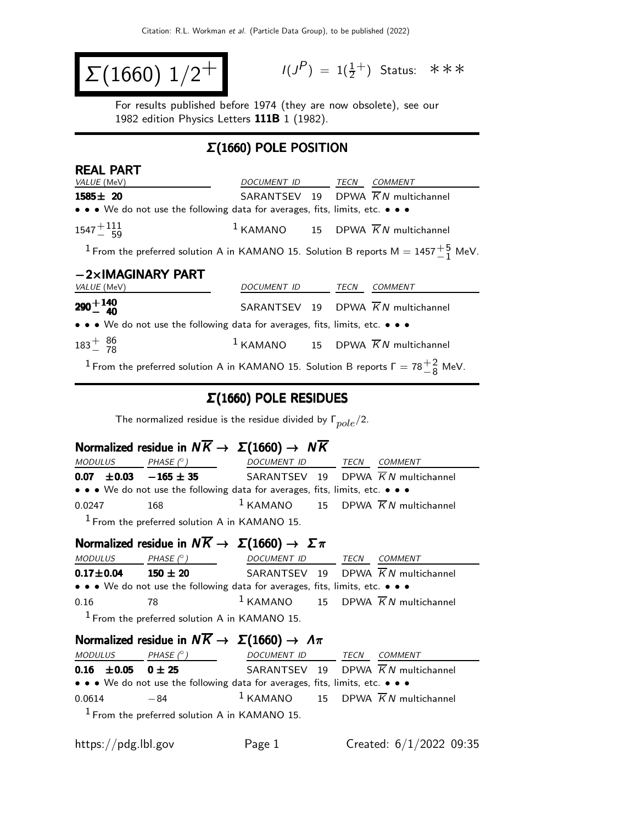$$
\Sigma(1660) 1/2^+
$$

 $(P) = 1(\frac{1}{2}^+)$  Status: ∗∗∗

For results published before 1974 (they are now obsolete), see our 1982 edition Physics Letters 111B 1 (1982).

### Σ(1660) POLE POSITION

| <b>REAL PART</b>                                                                                       |                          |  |                                                 |
|--------------------------------------------------------------------------------------------------------|--------------------------|--|-------------------------------------------------|
| <i>VALUE</i> (MeV)                                                                                     | DOCUMENT ID TECN COMMENT |  |                                                 |
| $1585 \pm 20$                                                                                          |                          |  | SARANTSEV 19 DPWA $\overline{K}N$ multichannel  |
| • • • We do not use the following data for averages, fits, limits, etc. • • •                          |                          |  |                                                 |
| $1547 + 111$                                                                                           |                          |  | $1$ KAMANO 15 DPWA $\overline{K}N$ multichannel |
| <sup>1</sup> From the preferred solution A in KAMANO 15. Solution B reports M = 1457 $^{+5}_{-1}$ MeV. |                          |  |                                                 |
| $-2\times$ IMAGINARY PART                                                                              |                          |  |                                                 |
| <i>VALUE</i> (MeV)                                                                                     | DOCUMENT ID TECN         |  | COMMENT                                         |
| $290 + 140$                                                                                            |                          |  | SARANTSEV 19 DPWA $\overline{K}N$ multichannel  |
| • • • We do not use the following data for averages, fits, limits, etc. • • •                          |                          |  |                                                 |
| $183^{+}_{-}$ $\frac{86}{78}$                                                                          |                          |  | $1$ KAMANO 15 DPWA $\overline{K}N$ multichannel |
|                                                                                                        |                          |  |                                                 |

<sup>1</sup> From the preferred solution A in KAMANO 15. Solution B reports  $\Gamma = 78\frac{+2}{-8}$  MeV.

### Σ(1660) POLE RESIDUES

The normalized residue is the residue divided by  $\Gamma_{pole}/2$ .

### Normalized residue in  $N\overline{K} \rightarrow \Sigma(1660) \rightarrow N\overline{K}$

| <i>MODULUS</i>              | PHASE $(^\circ)$                                | DOCUMENT ID TECN                                                              |  | COMMENT                                         |
|-----------------------------|-------------------------------------------------|-------------------------------------------------------------------------------|--|-------------------------------------------------|
| $0.07 \pm 0.03 -165 \pm 35$ |                                                 |                                                                               |  | SARANTSEV 19 DPWA $\overline{K}N$ multichannel  |
|                             |                                                 | • • • We do not use the following data for averages, fits, limits, etc. • • • |  |                                                 |
| 0.0247                      | 168                                             |                                                                               |  | $1$ KAMANO 15 DPWA $\overline{K}N$ multichannel |
|                             | $1$ From the preferred solution A in KAMANO 15. |                                                                               |  |                                                 |

## Normalized residue in  $N \overline{K} \rightarrow \Sigma (1660) \rightarrow \Sigma \pi$

| <i>MODULUS</i> | PHASE $(^\circ)$                                                              | DOCUMENT ID                                     | TECN | <i>COMMENT</i> |
|----------------|-------------------------------------------------------------------------------|-------------------------------------------------|------|----------------|
| $0.17 + 0.04$  | $150 \pm 20$                                                                  | SARANTSEV 19 DPWA $\overline{K}N$ multichannel  |      |                |
|                | • • • We do not use the following data for averages, fits, limits, etc. • • • |                                                 |      |                |
| 0.16           | -78                                                                           | $1$ KAMANO 15 DPWA $\overline{K}N$ multichannel |      |                |
|                | $1$ From the preferred solution A in KAMANO 15.                               |                                                 |      |                |

## Normalized residue in  $N\overline{K} \to \Sigma(1660) \to \Lambda \pi$

| <i>MODULUS</i>             | PHASE $(^\circ)$                                                              | DOCUMENT ID | TECN | <i>COMMENT</i>                                  |
|----------------------------|-------------------------------------------------------------------------------|-------------|------|-------------------------------------------------|
| 0.16 $\pm$ 0.05 0 $\pm$ 25 |                                                                               |             |      | SARANTSEV 19 DPWA $\overline{K}N$ multichannel  |
|                            | • • • We do not use the following data for averages, fits, limits, etc. • • • |             |      |                                                 |
| 0.0614                     | $-84$                                                                         |             |      | $1$ KAMANO 15 DPWA $\overline{K}N$ multichannel |
|                            | $1$ From the preferred solution A in KAMANO 15.                               |             |      |                                                 |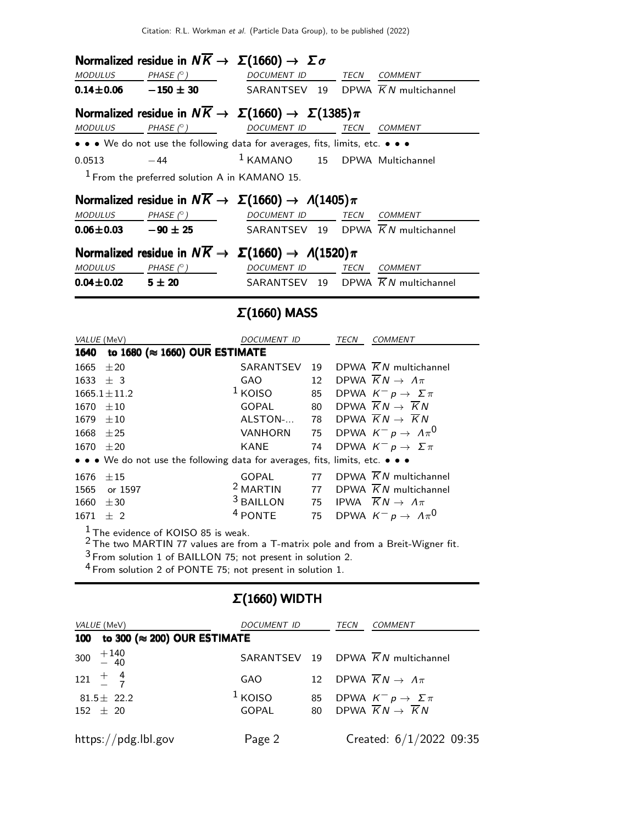|                            |                                                 | Normalized residue in $N\overline{K} \rightarrow \Sigma(1660) \rightarrow \Sigma \sigma$    |                                                                           |
|----------------------------|-------------------------------------------------|---------------------------------------------------------------------------------------------|---------------------------------------------------------------------------|
|                            | $MODULUS$ PHASE $(^{\circ})$                    | DOCUMENT ID TECN COMMENT                                                                    |                                                                           |
|                            |                                                 |                                                                                             | <b>0.14±0.06</b> -150 ± 30 SARANTSEV 19 DPWA $\overline{K}N$ multichannel |
|                            |                                                 | Normalized residue in $N\overline{K} \to \Sigma(1660) \to \Sigma(1385)\pi$                  |                                                                           |
| <b>MODULUS</b>             |                                                 | PHASE (° ) DOCUMENT ID TECN COMMENT                                                         |                                                                           |
|                            |                                                 | • • • We do not use the following data for averages, fits, limits, etc. • • •               |                                                                           |
|                            | $0.0513 -44$                                    |                                                                                             | $1$ KAMANO $15$ DPWA Multichannel                                         |
|                            | $1$ From the preferred solution A in KAMANO 15. |                                                                                             |                                                                           |
|                            |                                                 | Normalized residue in $N\overline{K} \rightarrow \Sigma(1660) \rightarrow \Lambda(1405)\pi$ |                                                                           |
|                            |                                                 | MODULUS PHASE $(^\circ)$ DOCUMENT ID TECN COMMENT                                           |                                                                           |
|                            |                                                 |                                                                                             | <b>0.06±0.03</b> -90 ± 25 SARANTSEV 19 DPWA $\overline{K}N$ multichannel  |
|                            |                                                 | Normalized residue in $N\overline{K} \to \Sigma(1660) \to \Lambda(1520)\pi$                 |                                                                           |
| $MODULUS$ PHASE $(^\circ)$ |                                                 | DOCUMENT ID TECN                                                                            | <b>COMMENT</b>                                                            |
| $0.04 \pm 0.02$ 5 $\pm$ 20 |                                                 |                                                                                             | SARANTSEV 19 DPWA $\overline{K}N$ multichannel                            |

# Σ(1660) MASS

| VALUE (MeV)  |                                                                               | DOCUMENT ID          |    | TECN | <b>COMMENT</b>                                 |
|--------------|-------------------------------------------------------------------------------|----------------------|----|------|------------------------------------------------|
| 1640         | to 1680 ( $\approx$ 1660) OUR ESTIMATE                                        |                      |    |      |                                                |
| 1665         | $+20$                                                                         | SARANTSEV            | 19 |      | DPWA $\overline{K}N$ multichannel              |
| $1633 \pm 3$ |                                                                               | GAO.                 | 12 |      | DPWA $\overline{K}N \rightarrow \Lambda \pi$   |
|              | $1665.1 \pm 11.2$                                                             | $1$ KOISO            | 85 |      | DPWA $K^- p \rightarrow \Sigma \pi$            |
| 1670         | $+10$                                                                         | GOPAL                | 80 |      | DPWA $\overline{K}N \rightarrow \overline{K}N$ |
| 1679         | $+10$                                                                         | ALSTON-              | 78 |      | DPWA $\overline{K}N \rightarrow \overline{K}N$ |
| 1668         | $+25$                                                                         | <b>VANHORN</b>       | 75 |      | DPWA $K^- p \rightarrow \Lambda \pi^0$         |
| 1670         | $+20$                                                                         | KANE                 | 74 |      | DPWA $K^- p \rightarrow \Sigma \pi$            |
|              | • • • We do not use the following data for averages, fits, limits, etc. • • • |                      |    |      |                                                |
| 1676         | $+15$                                                                         | GOPAL                | 77 |      | DPWA $\overline{K}N$ multichannel              |
| 1565         | or 1597                                                                       | <sup>2</sup> MARTIN  | 77 |      | DPWA $\overline{K}N$ multichannel              |
| 1660         | $+30$                                                                         | <sup>3</sup> BAILLON | 75 |      | IPWA $\overline{K}N \rightarrow \Lambda \pi$   |
| 1671         | $+2$                                                                          | <sup>4</sup> PONTE   | 75 |      | DPWA $K^- p \rightarrow A \pi^0$               |
| - 1          |                                                                               |                      |    |      |                                                |

 $\frac{1}{6}$  The evidence of KOISO 85 is weak.

 $2$  The two MARTIN 77 values are from a T-matrix pole and from a Breit-Wigner fit.

<sup>3</sup> From solution 1 of BAILLON 75; not present in solution 2.

 $4$  From solution 2 of PONTE 75; not present in solution 1.

# Σ(1660) WIDTH

| VALUE (MeV)                                        | DOCUMENT ID  |                 | TECN | COMMENT                                           |
|----------------------------------------------------|--------------|-----------------|------|---------------------------------------------------|
| to 300 ( $\approx$ 200) OUR ESTIMATE<br><b>100</b> |              |                 |      |                                                   |
| 300 $+140$<br>$-40$                                |              |                 |      | SARANTSEV 19 DPWA $\overline{K}N$ multichannel    |
| $121 \frac{+}{-} \frac{4}{7}$                      | <b>GAO</b>   | 12 <sup>7</sup> |      | DPWA $\overline{K}N \rightarrow \Lambda \pi$      |
| $81.5 \pm 22.2$                                    | $1$ KOISO    | 85              |      | DPWA $K^- p \to \Sigma \pi$                       |
| $152 \pm 20$                                       | <b>GOPAL</b> |                 |      | 80 DPWA $\overline{K}N \rightarrow \overline{K}N$ |
| https://pdg.lbl.gov                                | Page 2       |                 |      | Created: $6/1/2022$ 09:35                         |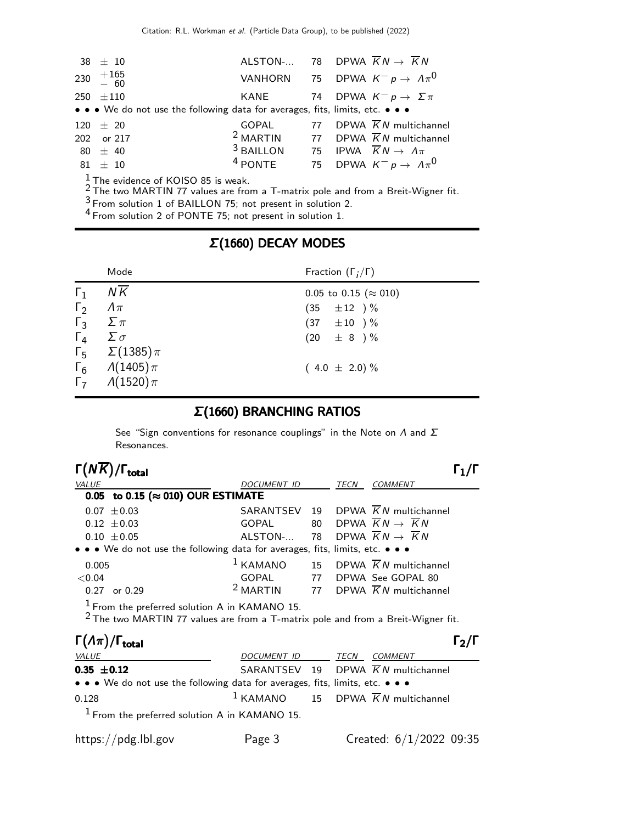| $38 \pm 10$                                                                   |       | ALSTON- 78 DPWA $\overline{K}N \rightarrow \overline{K}N$            |
|-------------------------------------------------------------------------------|-------|----------------------------------------------------------------------|
| 230 $+165$<br>- 60                                                            |       | VANHORN 75 DPWA $K^- p \rightarrow \Lambda \pi^0$                    |
| $250 + 110$                                                                   |       | KANE 74 DPWA $K^- p \to \Sigma \pi$                                  |
| • • • We do not use the following data for averages, fits, limits, etc. • • • |       |                                                                      |
| $120 \pm 20$                                                                  | GOPAL | 77 DPWA $\overline{K}N$ multichannel                                 |
| 202 or 217                                                                    |       | <sup>2</sup> MARTIN 77 DPWA $\overline{K}N$ multichannel             |
| $80 \pm 40$                                                                   |       | <sup>3</sup> BAILLON 75 IPWA $\overline{K}N \rightarrow \Lambda \pi$ |
| $81 \pm 10$                                                                   |       | <sup>4</sup> PONTE 75 DPWA $K^- p \rightarrow A \pi^0$               |
| $\frac{1}{6}$ The evidence of KOISO 85 is weak.                               |       |                                                                      |

2 The two MARTIN 77 values are from a T-matrix pole and from a Breit-Wigner fit.

3 From solution 1 of BAILLON 75; not present in solution 2.

<sup>4</sup> From solution 2 of PONTE 75; not present in solution 1.

### Σ(1660) DECAY MODES

|                            | Mode                               | Fraction $(\Gamma_i/\Gamma)$  |
|----------------------------|------------------------------------|-------------------------------|
| $\Gamma_1$                 | NK                                 | 0.05 to 0.15 ( $\approx$ 010) |
| $\Gamma_2$                 | $\varLambda\pi$                    | $(35 \pm 12)^{\frac{0}{6}}$   |
| $\Gamma_3$ $\Sigma \pi$    |                                    | $(37 \pm 10) \%$              |
| $\Gamma_4$ $\Sigma \sigma$ |                                    | $(20 \pm 8) \%$               |
|                            | $\Gamma_5 \quad \Sigma(1385)\pi$   |                               |
|                            | $\Gamma_6 \qquad \Lambda(1405)\pi$ | $(4.0 \pm 2.0)\%$             |
|                            | $\Gamma_7$ $\Lambda(1520)\pi$      |                               |

#### Σ(1660) BRANCHING RATIOS

See "Sign conventions for resonance couplings" in the Note on  $\Lambda$  and  $\Sigma$ Resonances.

| $\Gamma(N\overline{K})/\Gamma_{\rm total}$                                    |                    |      |                                                          |  |
|-------------------------------------------------------------------------------|--------------------|------|----------------------------------------------------------|--|
| VALUE                                                                         | <b>DOCUMENT ID</b> | TECN | <b>COMMENT</b>                                           |  |
| 0.05 to 0.15 ( $\approx$ 010) OUR ESTIMATE                                    |                    |      |                                                          |  |
| $0.07 \pm 0.03$                                                               |                    |      | SARANTSEV 19 DPWA $\overline{K}N$ multichannel           |  |
| $0.12 \pm 0.03$                                                               | GOPAL              |      | 80 DPWA $\overline{K}N \rightarrow \overline{K}N$        |  |
| $0.10 \pm 0.05$                                                               | ALSTON-            |      | 78 DPWA $\overline{K}N \rightarrow \overline{K}N$        |  |
| • • • We do not use the following data for averages, fits, limits, etc. • • • |                    |      |                                                          |  |
| 0.005                                                                         |                    |      | $1$ KAMANO 15 DPWA $\overline{K}N$ multichannel          |  |
| ${<}0.04$                                                                     | GOPAL 77           |      | DPWA See GOPAL 80                                        |  |
| 0.27<br>or 0.29                                                               |                    |      | <sup>2</sup> MARTIN 77 DPWA $\overline{K}N$ multichannel |  |
| $1$ From the preferred solution A in KAMANO 15.                               |                    |      |                                                          |  |

 $2$  The two MARTIN 77 values are from a T-matrix pole and from a Breit-Wigner fit.

| $\Gamma(\Lambda \pi)/\Gamma_{\rm total}$                                                                              |             |      | $\Gamma_2/\Gamma$                               |
|-----------------------------------------------------------------------------------------------------------------------|-------------|------|-------------------------------------------------|
| <b>VALUE</b>                                                                                                          | DOCUMENT ID | TECN | COMMENT                                         |
| $0.35 \pm 0.12$                                                                                                       |             |      | SARANTSEV 19 DPWA $\overline{K}N$ multichannel  |
| $\bullet \bullet \bullet$ We do not use the following data for averages, fits, limits, etc. $\bullet \bullet \bullet$ |             |      |                                                 |
| 0.128                                                                                                                 |             |      | $1$ KAMANO 15 DPWA $\overline{K}N$ multichannel |
| $1$ From the preferred solution A in KAMANO 15.                                                                       |             |      |                                                 |
| https://pdg.lbl.gov                                                                                                   | Page 3      |      | Created: $6/1/2022$ 09:35                       |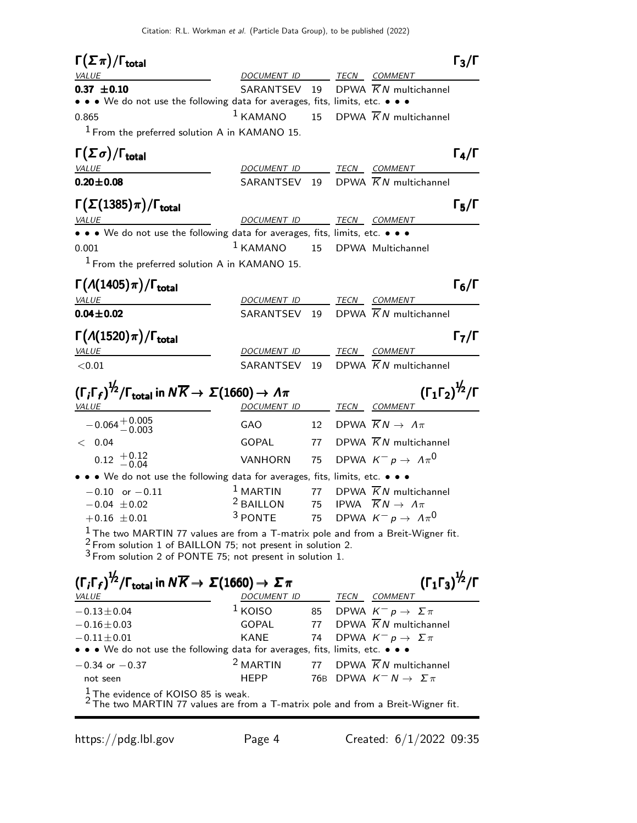| $\Gamma(\Sigma \pi)/\Gamma_{\rm total}$                                                                                                                                                                                      |                          |    |                                                              | $\Gamma_3/\Gamma$                   |
|------------------------------------------------------------------------------------------------------------------------------------------------------------------------------------------------------------------------------|--------------------------|----|--------------------------------------------------------------|-------------------------------------|
| <i>VALUE</i>                                                                                                                                                                                                                 | DOCUMENT ID TECN COMMENT |    |                                                              |                                     |
| $0.37 \pm 0.10$<br>• • We do not use the following data for averages, fits, limits, etc. • • •                                                                                                                               | SARANTSEV                | 19 | DPWA $\overline{K}N$ multichannel                            |                                     |
|                                                                                                                                                                                                                              | $1$ KAMANO               | 15 | DPWA $\overline{K}N$ multichannel                            |                                     |
| 0.865                                                                                                                                                                                                                        |                          |    |                                                              |                                     |
| $1$ From the preferred solution A in KAMANO 15.                                                                                                                                                                              |                          |    |                                                              |                                     |
| $\Gamma(\Sigma \sigma)/\Gamma_{\rm total}$                                                                                                                                                                                   |                          |    |                                                              | $\Gamma_4/\Gamma$                   |
| VALUE                                                                                                                                                                                                                        | DOCUMENT ID TECN COMMENT |    |                                                              |                                     |
| $0.20 \pm 0.08$                                                                                                                                                                                                              | SARANTSEV 19             |    | DPWA $\overline{K}N$ multichannel                            |                                     |
| $\Gamma(\Sigma(1385)\pi)/\Gamma_{\rm total}$                                                                                                                                                                                 |                          |    |                                                              | $\Gamma_5/\Gamma$                   |
| <b>VALUE</b>                                                                                                                                                                                                                 | DOCUMENT ID TECN COMMENT |    |                                                              |                                     |
| • • • We do not use the following data for averages, fits, limits, etc. • • •                                                                                                                                                |                          |    |                                                              |                                     |
| 0.001                                                                                                                                                                                                                        | $1$ KAMANO               | 15 | DPWA Multichannel                                            |                                     |
| $1$ From the preferred solution A in KAMANO 15.                                                                                                                                                                              |                          |    |                                                              |                                     |
| $\Gamma(\Lambda(1405)\pi)/\Gamma_{\rm total}$                                                                                                                                                                                |                          |    |                                                              | $\mathsf{\Gamma}_6/\mathsf{\Gamma}$ |
| VALUE                                                                                                                                                                                                                        | DOCUMENT ID TECN COMMENT |    |                                                              |                                     |
| $0.04 \pm 0.02$                                                                                                                                                                                                              | SARANTSEV 19             |    | DPWA $\overline{K}N$ multichannel                            |                                     |
|                                                                                                                                                                                                                              |                          |    |                                                              |                                     |
| $\Gamma(A(1520)\pi)/\Gamma_{\rm total}$                                                                                                                                                                                      |                          |    |                                                              | $\Gamma_7/\Gamma$                   |
| VALUE                                                                                                                                                                                                                        | DOCUMENT ID              |    | TECN COMMENT                                                 |                                     |
| < 0.01                                                                                                                                                                                                                       | SARANTSEV                | 19 | DPWA $\overline{K}N$ multichannel                            |                                     |
|                                                                                                                                                                                                                              |                          |    |                                                              |                                     |
| $(\Gamma_i\Gamma_f)^{\frac{1}{2}}/\Gamma_{\rm total}$ in $N\overline{K}\rightarrow\Sigma(1660)\rightarrow\varLambda\pi$<br>VALUE                                                                                             | DOCUMENT ID              |    | $(\Gamma_1 \Gamma_2)^{\frac{1}{2}} / \Gamma$<br>TECN COMMENT |                                     |
| $-0.064 + 0.005$<br>$-0.003$                                                                                                                                                                                                 | GAO                      |    | 12 DPWA $\overline{K}N \rightarrow \Lambda \pi$              |                                     |
| < 0.04                                                                                                                                                                                                                       | GOPAL                    | 77 | DPWA $\overline{K}N$ multichannel                            |                                     |
| $0.12 \begin{array}{c} +0.12 \\ -0.04 \end{array}$                                                                                                                                                                           | VANHORN                  | 75 | DPWA $K^-p \rightarrow \Lambda \pi^0$                        |                                     |
| • • • We do not use the following data for averages, fits, limits, etc. • • •                                                                                                                                                |                          |    |                                                              |                                     |
| $-0.10$ or $-0.11$                                                                                                                                                                                                           | $1$ MARTIN               | 77 | DPWA $\overline{K}N$ multichannel                            |                                     |
| $-0.04 \pm 0.02$                                                                                                                                                                                                             | <sup>2</sup> BAILLON     | 75 | IPWA $\overline{K}N \rightarrow \Lambda \pi$                 |                                     |
| $+0.16 \pm 0.01$                                                                                                                                                                                                             | <sup>3</sup> PONTE       | 75 | DPWA $K^- p \rightarrow A \pi^0$                             |                                     |
| $\frac{1}{2}$ The two MARTIN 77 values are from a T-matrix pole and from a Breit-Wigner fit.<br>$2$ From solution 1 of BAILLON 75; not present in solution 2.<br>$3$ From solution 2 of PONTE 75; not present in solution 1. |                          |    |                                                              |                                     |
| $(\Gamma_i \Gamma_f)^{1/2}/\Gamma_{\text{total}}$ in $N \overline{K} \rightarrow \Sigma (1660) \rightarrow \Sigma \pi$                                                                                                       |                          |    | $(\Gamma_1 \Gamma_3)^{\frac{1}{2}} / \Gamma$                 |                                     |
| <i>VALUE</i>                                                                                                                                                                                                                 | DOCUMENT ID TECN COMMENT |    |                                                              |                                     |
| $-0.13 \pm 0.04$                                                                                                                                                                                                             | $1$ KOISO                |    | 85 DPWA $K^- p \rightarrow \Sigma \pi$                       |                                     |
| $-0.16 \pm 0.03$                                                                                                                                                                                                             | GOPAL                    | 77 | DPWA $\overline{K}N$ multichannel                            |                                     |
| $-0.11 \pm 0.01$                                                                                                                                                                                                             | <b>KANE</b>              | 74 | DPWA $K^- p \to \Sigma \pi$                                  |                                     |
| • • • We do not use the following data for averages, fits, limits, etc. • • •                                                                                                                                                |                          |    |                                                              |                                     |
| $-0.34$ or $-0.37$                                                                                                                                                                                                           | <sup>2</sup> MARTIN      | 77 | DPWA $\overline{K}N$ multichannel                            |                                     |
| not seen<br>$\frac{1}{2}$ The evidence of KOISO 85 is weak.<br><sup>2</sup> The two MARTIN 77 values are from a T-matrix pole and from a Breit-Wigner fit.                                                                   | <b>HEPP</b>              |    | 76B DPWA $K^- N \rightarrow \Sigma \pi$                      |                                     |